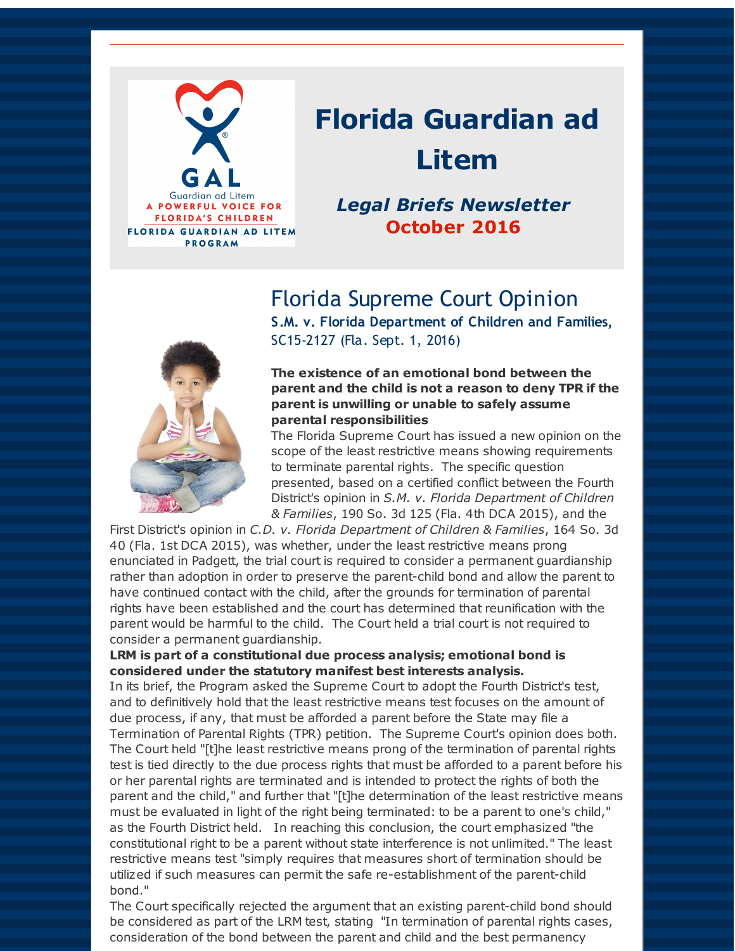

# **Florida Guardian ad Litem**

### *Legal Briefs Newsletter* **October 2016**

Florida Supreme Court Opinion



**S.M. v. Florida Department of Children and Families,** SC15-2127 (Fla. Sept. 1, 2016)

#### **The existence of an emotional bond between the parent and the child is not a reason to deny TPR if the parent is unwilling or unable to safely assume parental responsibilities**

The Florida Supreme Court has issued a new opinion on the scope of the least restrictive means showing requirements to terminate parental rights. The specific question presented, based on a certified conflict between the Fourth District's opinion in *S.M. v. Florida Department of Children & Families*, 190 So. 3d 125 (Fla. 4th DCA 2015), and the

First District's opinion in *C.D. v. Florida Department of Children & Families*, 164 So. 3d 40 (Fla. 1st DCA 2015), was whether, under the least restrictive means prong enunciated in Padgett, the trial court is required to consider a permanent guardianship rather than adoption in order to preserve the parent-child bond and allow the parent to have continued contact with the child, after the grounds for termination of parental rights have been established and the court has determined that reunification with the parent would be harmful to the child. The Court held a trial court is not required to consider a permanent guardianship.

#### **LRM is part of a constitutional due process analysis; emotional bond is considered under the statutory manifest best interests analysis.**

In its brief, the Program asked the Supreme Court to adopt the Fourth District's test, and to definitively hold that the least restrictive means test focuses on the amount of due process, if any, that must be afforded a parent before the State may file a Termination of Parental Rights (TPR) petition. The Supreme Court's opinion does both. The Court held "[t]he least restrictive means prong of the termination of parental rights test is tied directly to the due process rights that must be afforded to a parent before his or her parental rights are terminated and is intended to protect the rights of both the parent and the child," and further that "[t]he determination of the least restrictive means must be evaluated in light of the right being terminated: to be a parent to one's child," as the Fourth District held. In reaching this conclusion, the court emphasized "the constitutional right to be a parent without state interference is not unlimited." The least restrictive means test "simply requires that measures short of termination should be utilized if such measures can permit the safe re-establishment of the parent-child bond."

The Court specifically rejected the argument that an existing parent-child bond should be considered as part of the LRM test, stating "In termination of parental rights cases, consideration of the bond between the parent and child and the best permanency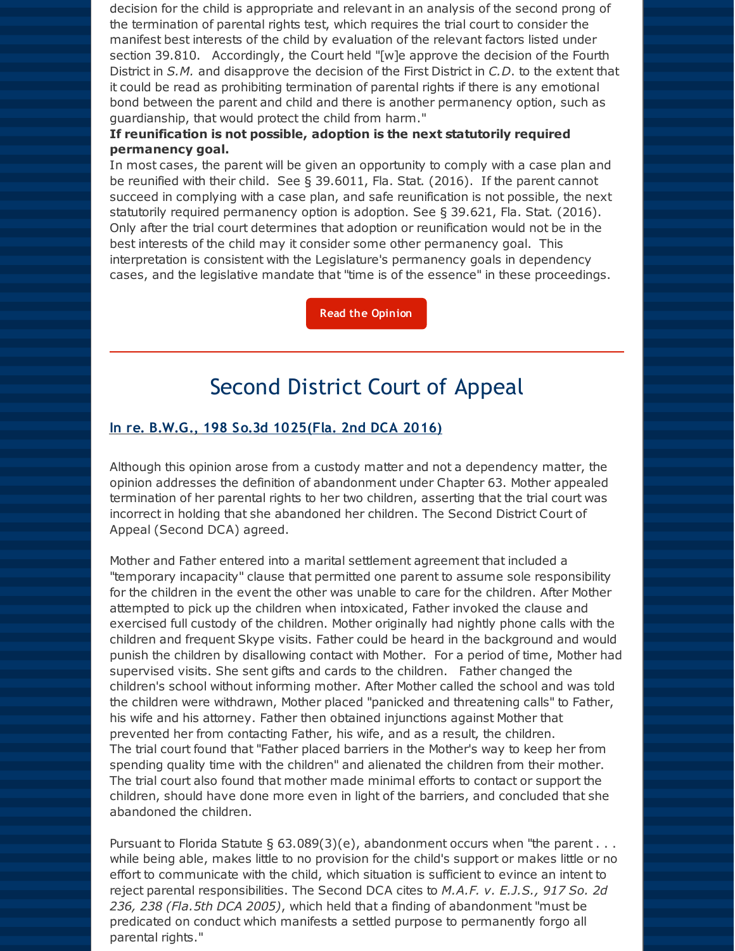decision for the child is appropriate and relevant in an analysis of the second prong of the termination of parental rights test, which requires the trial court to consider the manifest best interests of the child by evaluation of the relevant factors listed under section 39.810. Accordingly, the Court held "[w]e approve the decision of the Fourth District in *S.M.* and disapprove the decision of the First District in *C.D*. to the extent that it could be read as prohibiting termination of parental rights if there is any emotional bond between the parent and child and there is another permanency option, such as guardianship, that would protect the child from harm."

#### **If reunification is not possible, adoption is the next statutorily required permanency goal.**

In most cases, the parent will be given an opportunity to comply with a case plan and be reunified with their child. See § 39.6011, Fla. Stat. (2016). If the parent cannot succeed in complying with a case plan, and safe reunification is not possible, the next statutorily required permanency option is adoption. See § 39.621, Fla. Stat. (2016). Only after the trial court determines that adoption or reunification would not be in the best interests of the child may it consider some other permanency goal. This interpretation is consistent with the Legislature's permanency goals in dependency cases, and the legislative mandate that "time is of the essence" in these proceedings.

**Read the [Opinion](http://r20.rs6.net/tn.jsp?f=001w-btBJKUYg0Bxtsg8ArT7_47MsG4Zin_JJnOLWopoNp6iy5nDTztGGAFvVhTNgvKsfP7DbbTTHYafpyKDiCZVeeoHuHtMoC7Q-M4wRFTMgZqEYw9z6D132PnKdP46eftRxe-9hwVyqB5B9AvBjxf3YklLwwe-yAqkt2R_v0K3DKPskktvFmUPsNfGhbO_m5nE8EZQRlpo0FF05_A0_RukPjeSD8WTi6ZvyDkMnWd7zM=&c=&ch=)**

### Second District Court of Appeal

#### **In re. B.W.G., 198 So.3d 1025(Fla. 2nd DCA 2016)**

Although this opinion arose from a custody matter and not a dependency matter, the opinion addresses the definition of abandonment under Chapter 63. Mother appealed termination of her parental rights to her two children, asserting that the trial court was incorrect in holding that she abandoned her children. The Second District Court of Appeal (Second DCA) agreed.

Mother and Father entered into a marital settlement agreement that included a "temporary incapacity" clause that permitted one parent to assume sole responsibility for the children in the event the other was unable to care for the children. After Mother attempted to pick up the children when intoxicated, Father invoked the clause and exercised full custody of the children. Mother originally had nightly phone calls with the children and frequent Skype visits. Father could be heard in the background and would punish the children by disallowing contact with Mother. For a period of time, Mother had supervised visits. She sent gifts and cards to the children. Father changed the children's school without informing mother. After Mother called the school and was told the children were withdrawn, Mother placed "panicked and threatening calls" to Father, his wife and his attorney. Father then obtained injunctions against Mother that prevented her from contacting Father, his wife, and as a result, the children. The trial court found that "Father placed barriers in the Mother's way to keep her from spending quality time with the children" and alienated the children from their mother. The trial court also found that mother made minimal efforts to contact or support the children, should have done more even in light of the barriers, and concluded that she abandoned the children.

Pursuant to Florida Statute §  $63.089(3)(e)$ , abandonment occurs when "the parent . . . while being able, makes little to no provision for the child's support or makes little or no effort to communicate with the child, which situation is sufficient to evince an intent to reject parental responsibilities. The Second DCA cites to *M.A.F. v. E.J.S., 917 So. 2d 236, 238 (Fla.5th DCA 2005)*, which held that a finding of abandonment "must be predicated on conduct which manifests a settled purpose to permanently forgo all parental rights."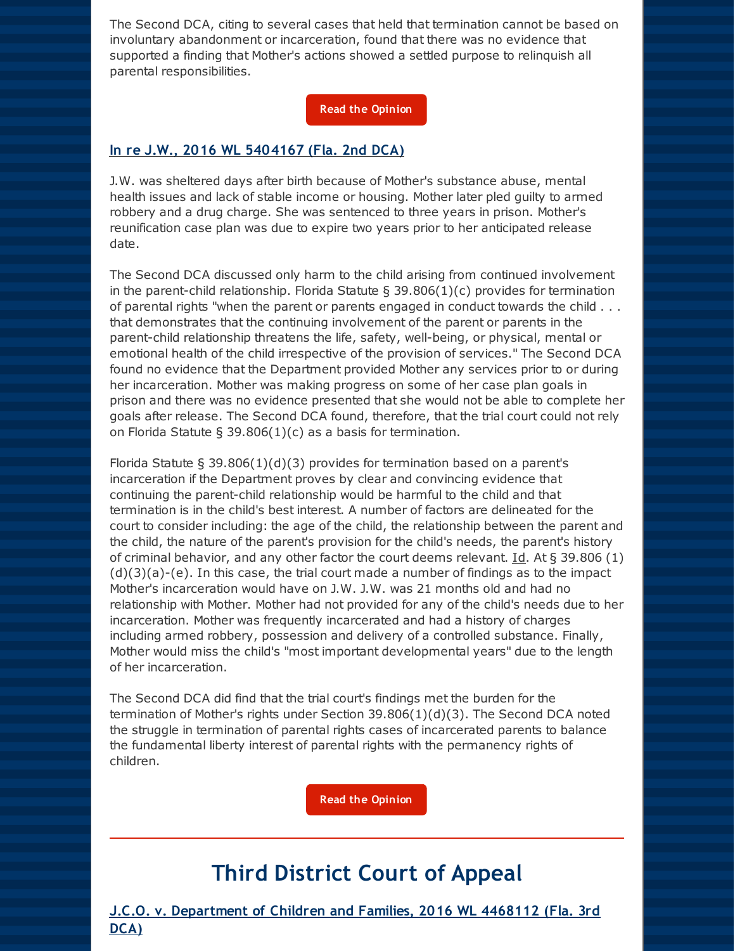The Second DCA, citing to several cases that held that termination cannot be based on involuntary abandonment or incarceration, found that there was no evidence that supported a finding that Mother's actions showed a settled purpose to relinquish all parental responsibilities.

#### **Read the [Opinion](http://r20.rs6.net/tn.jsp?f=001w-btBJKUYg0Bxtsg8ArT7_47MsG4Zin_JJnOLWopoNp6iy5nDTztGGAFvVhTNgvK0NWZT7IKPOxBlnDPSYckGvzrKzzc5c95I8JaVqzjrMer57HkNW3Je59WRjmc7FaLGtbzqCAh24RBhx5ReZCIdXpMAiwi-NR9AaP58mvdc9I8A0Sv8IYD-eNvjVW50LBFqFFWkGs_X05zRB80svE3Iw63HPykSxGkRk8yTHM9ghva8RqKLKyT3K8Qdup9JiZ9t07N9Asr9r2-xOhDKl0htrjs5aql-I47OmWh_cPKCF4=&c=&ch=)**

#### **In re J.W., 2016 WL 5404167 (Fla. 2nd DCA)**

J.W. was sheltered days after birth because of Mother's substance abuse, mental health issues and lack of stable income or housing. Mother later pled guilty to armed robbery and a drug charge. She was sentenced to three years in prison. Mother's reunification case plan was due to expire two years prior to her anticipated release date.

The Second DCA discussed only harm to the child arising from continued involvement in the parent-child relationship. Florida Statute  $\S$  39.806(1)(c) provides for termination of parental rights "when the parent or parents engaged in conduct towards the child . . . that demonstrates that the continuing involvement of the parent or parents in the parent-child relationship threatens the life, safety, well-being, or physical, mental or emotional health of the child irrespective of the provision of services." The Second DCA found no evidence that the Department provided Mother any services prior to or during her incarceration. Mother was making progress on some of her case plan goals in prison and there was no evidence presented that she would not be able to complete her goals after release. The Second DCA found, therefore, that the trial court could not rely on Florida Statute § 39.806(1)(c) as a basis for termination.

Florida Statute § 39.806(1)(d)(3) provides for termination based on a parent's incarceration if the Department proves by clear and convincing evidence that continuing the parent-child relationship would be harmful to the child and that termination is in the child's best interest. A number of factors are delineated for the court to consider including: the age of the child, the relationship between the parent and the child, the nature of the parent's provision for the child's needs, the parent's history of criminal behavior, and any other factor the court deems relevant. Id. At § 39.806 (1)  $(d)(3)(a)-(e)$ . In this case, the trial court made a number of findings as to the impact Mother's incarceration would have on J.W. J.W. was 21 months old and had no relationship with Mother. Mother had not provided for any of the child's needs due to her incarceration. Mother was frequently incarcerated and had a history of charges including armed robbery, possession and delivery of a controlled substance. Finally, Mother would miss the child's "most important developmental years" due to the length of her incarceration.

The Second DCA did find that the trial court's findings met the burden for the termination of Mother's rights under Section 39.806(1)(d)(3). The Second DCA noted the struggle in termination of parental rights cases of incarcerated parents to balance the fundamental liberty interest of parental rights with the permanency rights of children.

**Read the [Opinion](http://r20.rs6.net/tn.jsp?f=001w-btBJKUYg0Bxtsg8ArT7_47MsG4Zin_JJnOLWopoNp6iy5nDTztGGAFvVhTNgvKsBviyfZWWbvXk2U-WTXq062PEMe5hsDKd3lN-ExClwx761zrXRWjsVhnPnn2CRZYTW7MRg4ItJx-S8MsTACr5hWHCfCfG6yL_HhvqXiJchgJB8VDpoHtNM7N-HZZXAWfdIPVlRqBzhCnT5YjeCxlXpe8WH_9A1XUSfEu6chojqifR9_INS8avdcOJbry4LtIhZwrkfck9UD9TgeI4jYcGaFf0SN70Iv-5rjDmSqY6x8T0voEGtCwgQ==&c=&ch=)**

### **Third District Court of Appeal**

**J.C.O. v. Department of Children and Families, 2016 WL 4468112 (Fla. 3rd DCA)**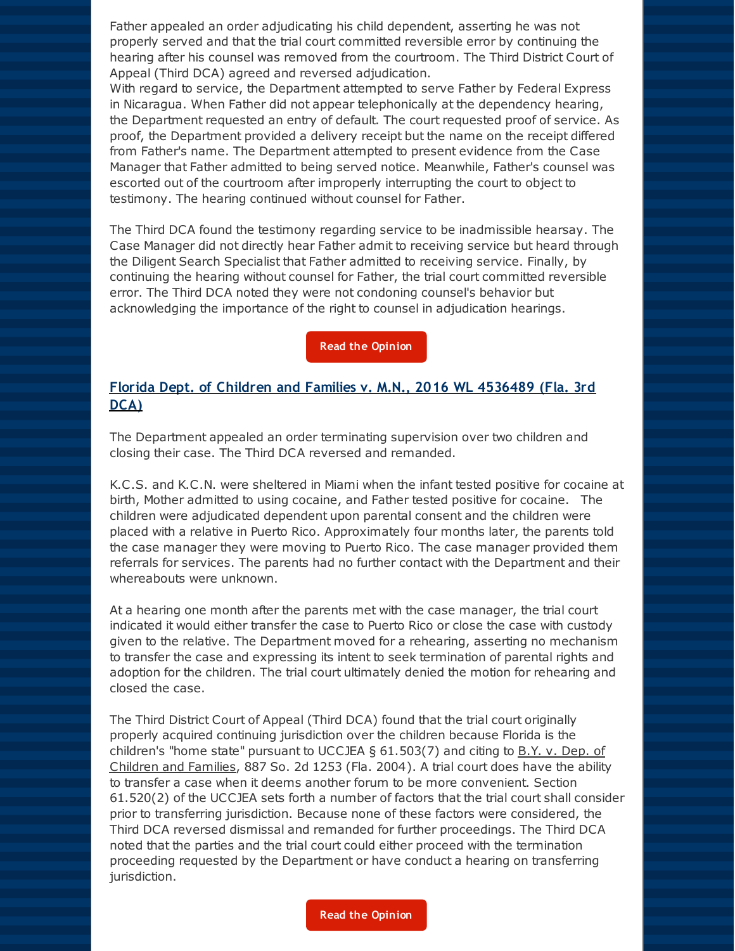Father appealed an order adjudicating his child dependent, asserting he was not properly served and that the trial court committed reversible error by continuing the hearing after his counsel was removed from the courtroom. The Third District Court of Appeal (Third DCA) agreed and reversed adjudication.

With regard to service, the Department attempted to serve Father by Federal Express in Nicaragua. When Father did not appear telephonically at the dependency hearing, the Department requested an entry of default. The court requested proof of service. As proof, the Department provided a delivery receipt but the name on the receipt differed from Father's name. The Department attempted to present evidence from the Case Manager that Father admitted to being served notice. Meanwhile, Father's counsel was escorted out of the courtroom after improperly interrupting the court to object to testimony. The hearing continued without counsel for Father.

The Third DCA found the testimony regarding service to be inadmissible hearsay. The Case Manager did not directly hear Father admit to receiving service but heard through the Diligent Search Specialist that Father admitted to receiving service. Finally, by continuing the hearing without counsel for Father, the trial court committed reversible error. The Third DCA noted they were not condoning counsel's behavior but acknowledging the importance of the right to counsel in adjudication hearings.

**Read the [Opinion](http://r20.rs6.net/tn.jsp?f=001w-btBJKUYg0Bxtsg8ArT7_47MsG4Zin_JJnOLWopoNp6iy5nDTztGGAFvVhTNgvK2nHVJCIZjRYZ0TJbSToxVbUIrf427lMboALjMjBDMaOLafPih41bltpjV05sg_WJJeNVkmC0r2NstWDEjisZG4hppvLPBuHV3XnYIFrBcqx0hNVUaXCfuS3-TdhnaOF495KTThrtTShuaTVODtbRlA==&c=&ch=)**

#### **Florida Dept. of Children and Families v. M.N., 2016 WL 4536489 (Fla. 3rd DCA)**

The Department appealed an order terminating supervision over two children and closing their case. The Third DCA reversed and remanded.

K.C.S. and K.C.N. were sheltered in Miami when the infant tested positive for cocaine at birth, Mother admitted to using cocaine, and Father tested positive for cocaine. The children were adjudicated dependent upon parental consent and the children were placed with a relative in Puerto Rico. Approximately four months later, the parents told the case manager they were moving to Puerto Rico. The case manager provided them referrals for services. The parents had no further contact with the Department and their whereabouts were unknown.

At a hearing one month after the parents met with the case manager, the trial court indicated it would either transfer the case to Puerto Rico or close the case with custody given to the relative. The Department moved for a rehearing, asserting no mechanism to transfer the case and expressing its intent to seek termination of parental rights and adoption for the children. The trial court ultimately denied the motion for rehearing and closed the case.

The Third District Court of Appeal (Third DCA) found that the trial court originally properly acquired continuing jurisdiction over the children because Florida is the children's "home state" pursuant to UCCJEA  $\S$  61.503(7) and citing to B.Y. v. Dep. of Children and Families, 887 So. 2d 1253 (Fla. 2004). A trial court does have the ability to transfer a case when it deems another forum to be more convenient. Section 61.520(2) of the UCCJEA sets forth a number of factors that the trial court shall consider prior to transferring jurisdiction. Because none of these factors were considered, the Third DCA reversed dismissal and remanded for further proceedings. The Third DCA noted that the parties and the trial court could either proceed with the termination proceeding requested by the Department or have conduct a hearing on transferring jurisdiction.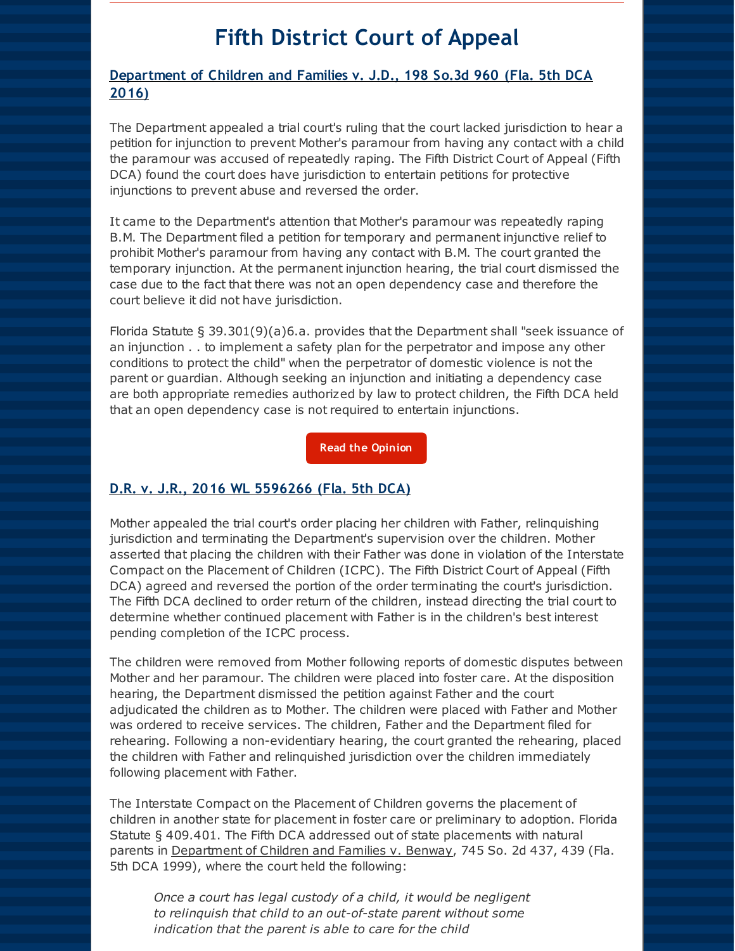## **Fifth District Court of Appeal**

#### **Department of Children and Families v. J.D., 198 So.3d 960 (Fla. 5th DCA 2016)**

The Department appealed a trial court's ruling that the court lacked jurisdiction to hear a petition for injunction to prevent Mother's paramour from having any contact with a child the paramour was accused of repeatedly raping. The Fifth District Court of Appeal (Fifth DCA) found the court does have jurisdiction to entertain petitions for protective injunctions to prevent abuse and reversed the order.

It came to the Department's attention that Mother's paramour was repeatedly raping B.M. The Department filed a petition for temporary and permanent injunctive relief to prohibit Mother's paramour from having any contact with B.M. The court granted the temporary injunction. At the permanent injunction hearing, the trial court dismissed the case due to the fact that there was not an open dependency case and therefore the court believe it did not have jurisdiction.

Florida Statute § 39.301(9)(a)6.a. provides that the Department shall "seek issuance of an injunction . . to implement a safety plan for the perpetrator and impose any other conditions to protect the child" when the perpetrator of domestic violence is not the parent or guardian. Although seeking an injunction and initiating a dependency case are both appropriate remedies authorized by law to protect children, the Fifth DCA held that an open dependency case is not required to entertain injunctions.

**Read the [Opinion](http://r20.rs6.net/tn.jsp?f=001w-btBJKUYg0Bxtsg8ArT7_47MsG4Zin_JJnOLWopoNp6iy5nDTztGGAFvVhTNgvKvjKub7RNwfz4NkK3dLThXZigRzAHsTmDZcvWMoe7IoCQt-DPhw9Tl2zaR0LcuiCxXICkZCaJG4_sVhzNshzHf_5oc0uwnHDkJdG7_5BWGlWCWNCFZVIvcr0zcKpuswH9UTXSI76eq1V_Lg77p9Cm_maR-2f4-kkPq8z8CYNl5eU=&c=&ch=)**

#### **D.R. v. J.R., 2016 WL 5596266 (Fla. 5th DCA)**

Mother appealed the trial court's order placing her children with Father, relinquishing jurisdiction and terminating the Department's supervision over the children. Mother asserted that placing the children with their Father was done in violation of the Interstate Compact on the Placement of Children (ICPC). The Fifth District Court of Appeal (Fifth DCA) agreed and reversed the portion of the order terminating the court's jurisdiction. The Fifth DCA declined to order return of the children, instead directing the trial court to determine whether continued placement with Father is in the children's best interest pending completion of the ICPC process.

The children were removed from Mother following reports of domestic disputes between Mother and her paramour. The children were placed into foster care. At the disposition hearing, the Department dismissed the petition against Father and the court adjudicated the children as to Mother. The children were placed with Father and Mother was ordered to receive services. The children, Father and the Department filed for rehearing. Following a non-evidentiary hearing, the court granted the rehearing, placed the children with Father and relinquished jurisdiction over the children immediately following placement with Father.

The Interstate Compact on the Placement of Children governs the placement of children in another state for placement in foster care or preliminary to adoption. Florida Statute § 409.401. The Fifth DCA addressed out of state placements with natural parents in Department of Children and Families v. Benway, 745 So. 2d 437, 439 (Fla. 5th DCA 1999), where the court held the following:

*Once a court has legal custody of a child, it would be negligent to relinquish that child to an out-of-state parent without some indication that the parent is able to care for the child*